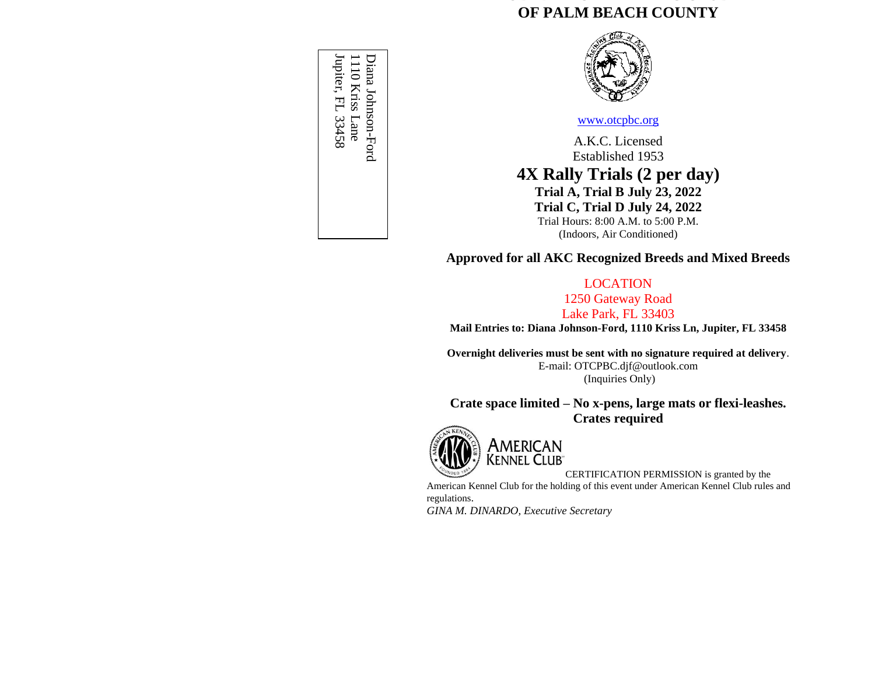# **OBEDIENCE TRAINING CLUB OF PALM BEACH COUNTY**



#### [www.otcpbc.org](http://www.otcpbc.org/)

A.K.C. Licensed Established 1953 **4X Rally Trials (2 per day) Trial A, Trial B July 23, 2022 Trial C, Trial D July 24, 2022** Trial Hours: 8:00 A.M. to 5:00 P.M. (Indoors, Air Conditioned)

**Approved for all AKC Recognized Breeds and Mixed Breeds**

## LOCATION

1250 Gateway Road Lake Park, FL 33403

**Mail Entries to: Diana Johnson-Ford, 1110 Kriss Ln, Jupiter, FL 33458**

**Overnight deliveries must be sent with no signature required at delivery**. E-mail: OTCPBC.djf@outlook.com (Inquiries Only)

**Crate space limited – No x-pens, large mats or flexi-leashes. Crates required**



AMERICAN<br>KENNEL CLUB

CERTIFICATION PERMISSION is granted by the

American Kennel Club for the holding of this event under American Kennel Club rules and regulations.

*GINA M. DINARDO, Executive Secretary*

Jupiter, FL 33458 Jupiter, FL 334581110 Kriss Lane Diana Johnson-Ford Diana Johnson-Ford 1110 Kriss Lane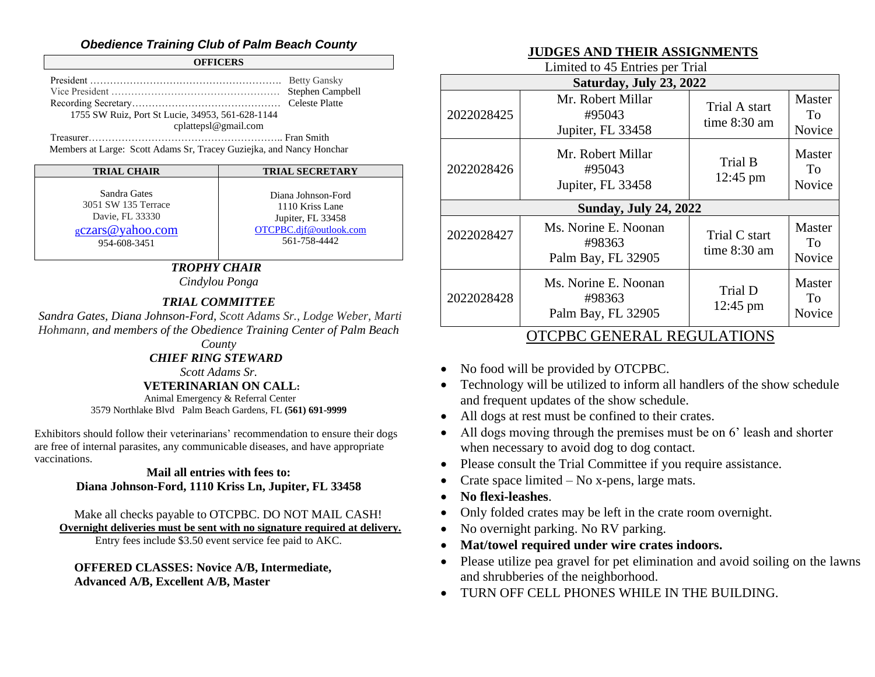# *Obedience Training Club of Palm Beach County*

#### **OFFICERS**

| 1755 SW Ruiz, Port St Lucie, 34953, 561-628-1144 |  |
|--------------------------------------------------|--|
| cplattepsl@gmail.com                             |  |
|                                                  |  |

Members at Large: Scott Adams Sr, Tracey Guziejka, and Nancy Honchar

| <b>TRIAL CHAIR</b>  | <b>TRIAL SECRETARY</b> |
|---------------------|------------------------|
| Sandra Gates        | Diana Johnson-Ford     |
| 3051 SW 135 Terrace | 1110 Kriss Lane        |
| Davie, FL 33330     | Jupiter, FL 33458      |
| gczars@yahoo.com    | OTCPBC.dif@outlook.com |
| 954-608-3451        | 561-758-4442           |

# *TROPHY CHAIR*

*Cindylou Ponga*

## *TRIAL COMMITTEE*

*Sandra Gates, Diana Johnson-Ford, Scott Adams Sr., Lodge Weber, Marti Hohmann, and members of the Obedience Training Center of Palm Beach* 

*CHIEF RING STEWARD*

*Scott Adams Sr.*

## **VETERINARIAN ON CALL:**

Animal Emergency & Referral Center 3579 Northlake Blvd Palm Beach Gardens, FL **(561) 691-9999**

Exhibitors should follow their veterinarians' recommendation to ensure their dogs are free of internal parasites, any communicable diseases, and have appropriate vaccinations.

### **Mail all entries with fees to: Diana Johnson-Ford, 1110 Kriss Ln, Jupiter, FL 33458**

## Make all checks payable to OTCPBC. DO NOT MAIL CASH!  **Overnight deliveries must be sent with no signature required at delivery.**

Entry fees include \$3.50 event service fee paid to AKC.

**OFFERED CLASSES: Novice A/B, Intermediate, Advanced A/B, Excellent A/B, Master**

# **JUDGES AND THEIR ASSIGNMENTS**

Limited to 45 Entries per Trial

| Saturday, July 23, 2022      |                                                      |                                 |                        |
|------------------------------|------------------------------------------------------|---------------------------------|------------------------|
| 2022028425                   | Mr. Robert Millar<br>#95043<br>Jupiter, FL 33458     | Trial A start<br>time 8:30 am   | Master<br>To<br>Novice |
| 2022028426                   | Mr. Robert Millar<br>#95043<br>Jupiter, FL 33458     | Trial B<br>12:45 pm             | Master<br>To<br>Novice |
| <b>Sunday, July 24, 2022</b> |                                                      |                                 |                        |
| 2022028427                   | Ms. Norine E. Noonan<br>#98363<br>Palm Bay, FL 32905 | Trial C start<br>time $8:30$ am | Master<br>To<br>Novice |
| 2022028428                   | Ms. Norine E. Noonan<br>#98363<br>Palm Bay, FL 32905 | Trial D<br>$12:45 \text{ pm}$   | Master<br>To<br>Novice |
|                              | OTODDO OENED AL DEOLII ATIONIC                       |                                 |                        |

# OTCPBC GENERAL REGULATIONS

- No food will be provided by OTCPBC.
- Technology will be utilized to inform all handlers of the show schedule and frequent updates of the show schedule.
- All dogs at rest must be confined to their crates.
- All dogs moving through the premises must be on 6' leash and shorter when necessary to avoid dog to dog contact.
- Please consult the Trial Committee if you require assistance.
- Crate space limited  $-$  No x-pens, large mats.
- **No flexi-leashes**.
- Only folded crates may be left in the crate room overnight.
- No overnight parking. No RV parking.
- **Mat/towel required under wire crates indoors.**
- Please utilize pea gravel for pet elimination and avoid soiling on the lawns and shrubberies of the neighborhood.
- TURN OFF CELL PHONES WHILE IN THE BUILDING.

*County*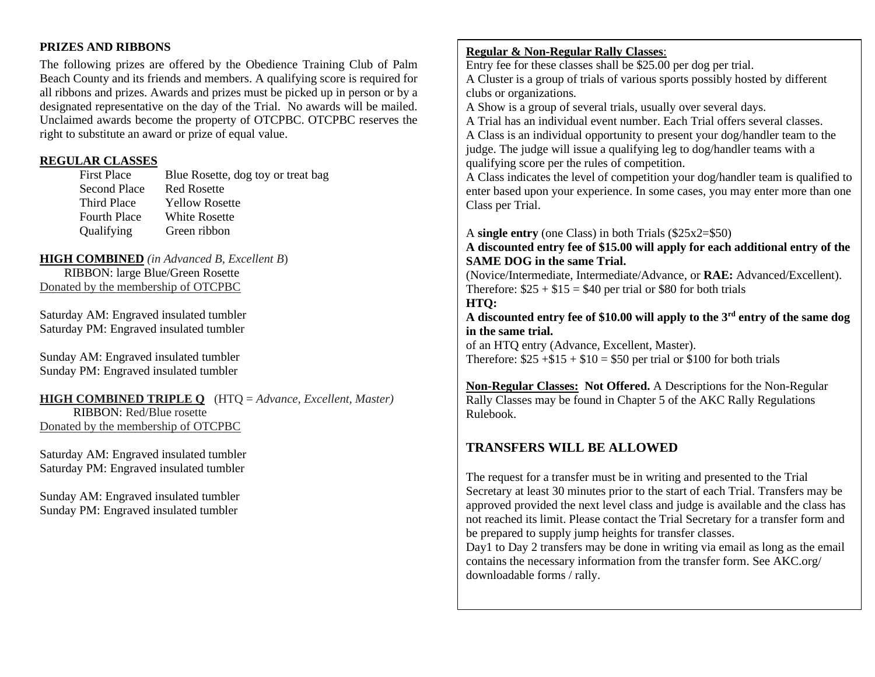### **PRIZES AND RIBBONS**

The following prizes are offered by the Obedience Training Club of Palm Beach County and its friends and members. A qualifying score is required for all ribbons and prizes. Awards and prizes must be picked up in person or by a designated representative on the day of the Trial. No awards will be mailed. Unclaimed awards become the property of OTCPBC. OTCPBC reserves the right to substitute an award or prize of equal value.

### **REGULAR CLASSES**

| Blue Rosette, dog toy or treat bag |
|------------------------------------|
| <b>Red Rosette</b>                 |
| <b>Yellow Rosette</b>              |
| White Rosette                      |
| Green ribbon                       |
|                                    |

**HIGH COMBINED** *(in Advanced B, Excellent B*) RIBBON: large Blue/Green Rosette Donated by the membership of OTCPBC

Saturday AM: Engraved insulated tumbler Saturday PM: Engraved insulated tumbler

Sunday AM: Engraved insulated tumbler Sunday PM: Engraved insulated tumbler

## **HIGH COMBINED TRIPLE Q** (HTQ = *Advance, Excellent, Master)*

 RIBBON: Red/Blue rosette Donated by the membership of OTCPBC

Saturday AM: Engraved insulated tumbler Saturday PM: Engraved insulated tumbler

Sunday AM: Engraved insulated tumbler Sunday PM: Engraved insulated tumbler

## **Regular & Non-Regular Rally Classes**:

Entry fee for these classes shall be \$25.00 per dog per trial. A Cluster is a group of trials of various sports possibly hosted by different clubs or organizations.

A Show is a group of several trials, usually over several days.

A Trial has an individual event number. Each Trial offers several classes. A Class is an individual opportunity to present your dog/handler team to the judge. The judge will issue a qualifying leg to dog/handler teams with a qualifying score per the rules of competition.

A Class indicates the level of competition your dog/handler team is qualified to enter based upon your experience. In some cases, you may enter more than one Class per Trial.

A **single entry** (one Class) in both Trials (\$25x2=\$50)

**A discounted entry fee of \$15.00 will apply for each additional entry of the SAME DOG in the same Trial.** 

(Novice/Intermediate, Intermediate/Advance, or **RAE:** Advanced/Excellent). Therefore:  $$25 + $15 = $40$  per trial or \$80 for both trials **HTQ:**

**A discounted entry fee of \$10.00 will apply to the 3rd entry of the same dog in the same trial.**

of an HTQ entry (Advance, Excellent, Master). Therefore:  $$25 + $15 + $10 = $50$  per trial or \$100 for both trials

**Non-Regular Classes: Not Offered.** A Descriptions for the Non-Regular Rally Classes may be found in Chapter 5 of the AKC Rally Regulations Rulebook.

# **TRANSFERS WILL BE ALLOWED**

The request for a transfer must be in writing and presented to the Trial Secretary at least 30 minutes prior to the start of each Trial. Transfers may be approved provided the next level class and judge is available and the class has not reached its limit. Please contact the Trial Secretary for a transfer form and be prepared to supply jump heights for transfer classes.

Day1 to Day 2 transfers may be done in writing via email as long as the email contains the necessary information from the transfer form. See AKC.org/ downloadable forms / rally.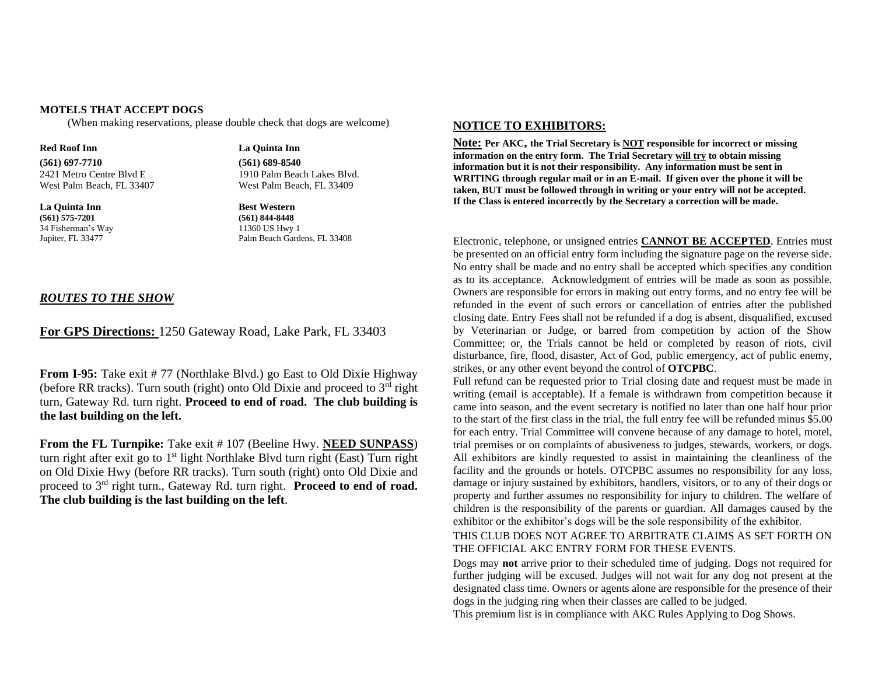#### **MOTELS THAT ACCEPT DOGS**

(When making reservations, please double check that dogs are welcome)

**Red Roof Inn La Quinta Inn (561) 697-7710 (561) 689-8540**

**La Quinta Inn**<br>(561) 575-7201 **Best Western**<br>(561) 844-8448 **(561) 575-7201 (561) 844-8448** 34 Fisherman's Way 11360 US Hwy 1

2421 Metro Centre Blvd E 1910 Palm Beach Lakes Blvd. West Palm Beach, FL 33407 West Palm Beach, FL 33409

Palm Beach Gardens, FL 33408

#### *ROUTES TO THE SHOW*

#### **For GPS Directions:** 1250 Gateway Road, Lake Park, FL 33403

**From I-95:** Take exit # 77 (Northlake Blvd.) go East to Old Dixie Highway (before RR tracks). Turn south (right) onto Old Dixie and proceed to  $3<sup>rd</sup>$  right turn, Gateway Rd. turn right. **Proceed to end of road. The club building is the last building on the left.**

**From the FL Turnpike:** Take exit # 107 (Beeline Hwy. **NEED SUNPASS**) turn right after exit go to  $1<sup>st</sup>$  light Northlake Blvd turn right (East) Turn right on Old Dixie Hwy (before RR tracks). Turn south (right) onto Old Dixie and proceed to 3rd right turn., Gateway Rd. turn right. **Proceed to end of road. The club building is the last building on the left**.

#### **NOTICE TO EXHIBITORS:**

**Note: Per AKC, the Trial Secretary is NOT responsible for incorrect or missing information on the entry form. The Trial Secretary will try to obtain missing information but it is not their responsibility. Any information must be sent in WRITING through regular mail or in an E-mail. If given over the phone it will be taken, BUT must be followed through in writing or your entry will not be accepted. If the Class is entered incorrectly by the Secretary a correction will be made.**

Electronic, telephone, or unsigned entries **CANNOT BE ACCEPTED**. Entries must be presented on an official entry form including the signature page on the reverse side. No entry shall be made and no entry shall be accepted which specifies any condition as to its acceptance. Acknowledgment of entries will be made as soon as possible. Owners are responsible for errors in making out entry forms, and no entry fee will be refunded in the event of such errors or cancellation of entries after the published closing date. Entry Fees shall not be refunded if a dog is absent, disqualified, excused by Veterinarian or Judge, or barred from competition by action of the Show Committee; or, the Trials cannot be held or completed by reason of riots, civil disturbance, fire, flood, disaster, Act of God, public emergency, act of public enemy, strikes, or any other event beyond the control of **OTCPBC**.

Full refund can be requested prior to Trial closing date and request must be made in writing (email is acceptable). If a female is withdrawn from competition because it came into season, and the event secretary is notified no later than one half hour prior to the start of the first class in the trial, the full entry fee will be refunded minus \$5.00 for each entry. Trial Committee will convene because of any damage to hotel, motel, trial premises or on complaints of abusiveness to judges, stewards, workers, or dogs. All exhibitors are kindly requested to assist in maintaining the cleanliness of the facility and the grounds or hotels. OTCPBC assumes no responsibility for any loss, damage or injury sustained by exhibitors, handlers, visitors, or to any of their dogs or property and further assumes no responsibility for injury to children. The welfare of children is the responsibility of the parents or guardian. All damages caused by the exhibitor or the exhibitor's dogs will be the sole responsibility of the exhibitor.

#### THIS CLUB DOES NOT AGREE TO ARBITRATE CLAIMS AS SET FORTH ON THE OFFICIAL AKC ENTRY FORM FOR THESE EVENTS.

Dogs may **not** arrive prior to their scheduled time of judging. Dogs not required for further judging will be excused. Judges will not wait for any dog not present at the designated class time. Owners or agents alone are responsible for the presence of their dogs in the judging ring when their classes are called to be judged.

This premium list is in compliance with AKC Rules Applying to Dog Shows.